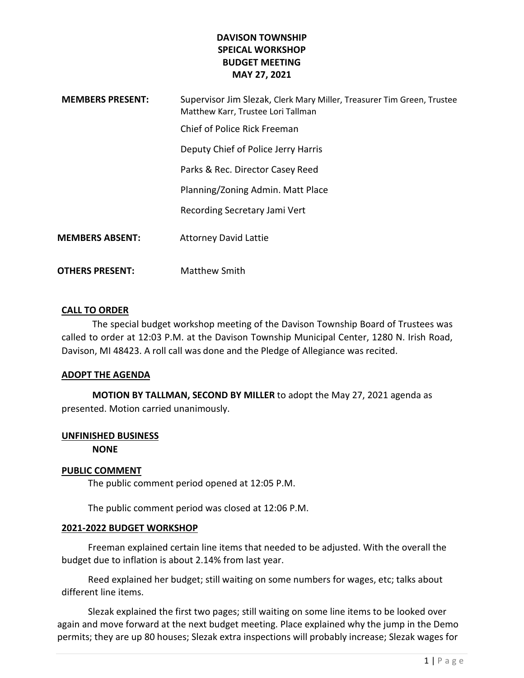# DAVISON TOWNSHIP SPEICAL WORKSHOP BUDGET MEETING MAY 27, 2021

| <b>MEMBERS PRESENT:</b> | Supervisor Jim Slezak, Clerk Mary Miller, Treasurer Tim Green, Trustee<br>Matthew Karr, Trustee Lori Tallman |
|-------------------------|--------------------------------------------------------------------------------------------------------------|
|                         | Chief of Police Rick Freeman                                                                                 |
|                         | Deputy Chief of Police Jerry Harris                                                                          |
|                         | Parks & Rec. Director Casey Reed                                                                             |
|                         | Planning/Zoning Admin. Matt Place                                                                            |
|                         | Recording Secretary Jami Vert                                                                                |
| <b>MEMBERS ABSENT:</b>  | <b>Attorney David Lattie</b>                                                                                 |
| OTHERS PRESENT:         | Matthew Smith                                                                                                |

#### CALL TO ORDER

The special budget workshop meeting of the Davison Township Board of Trustees was called to order at 12:03 P.M. at the Davison Township Municipal Center, 1280 N. Irish Road, Davison, MI 48423. A roll call was done and the Pledge of Allegiance was recited.

#### ADOPT THE AGENDA

MOTION BY TALLMAN, SECOND BY MILLER to adopt the May 27, 2021 agenda as presented. Motion carried unanimously.

#### UNFINISHED BUSINESS

NONE

#### PUBLIC COMMENT

The public comment period opened at 12:05 P.M.

The public comment period was closed at 12:06 P.M.

### 2021-2022 BUDGET WORKSHOP

Freeman explained certain line items that needed to be adjusted. With the overall the budget due to inflation is about 2.14% from last year.

 Reed explained her budget; still waiting on some numbers for wages, etc; talks about different line items.

 Slezak explained the first two pages; still waiting on some line items to be looked over again and move forward at the next budget meeting. Place explained why the jump in the Demo permits; they are up 80 houses; Slezak extra inspections will probably increase; Slezak wages for